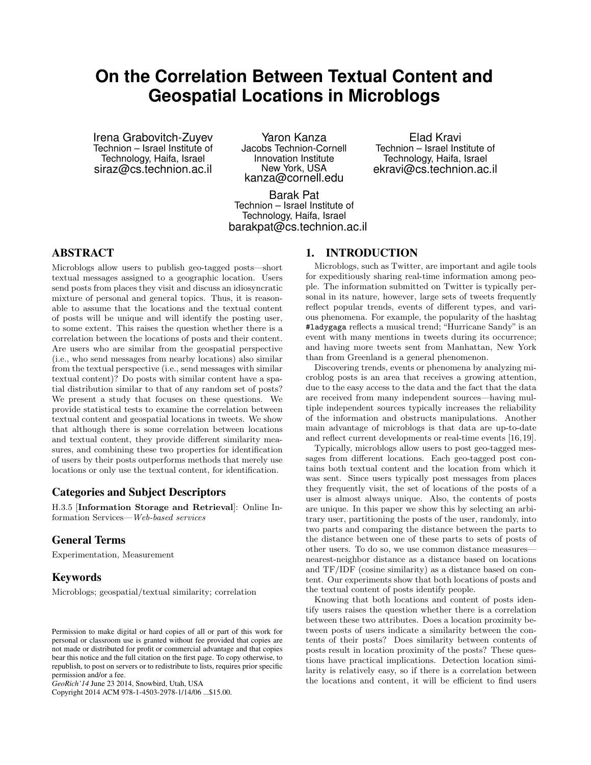# **On the Correlation Between Textual Content and Geospatial Locations in Microblogs**

Irena Grabovitch-Zuyev Technion – Israel Institute of Technology, Haifa, Israel siraz@cs.technion.ac.il

Yaron Kanza Jacobs Technion-Cornell Innovation Institute New York, USA kanza@cornell.edu

Elad Kravi Technion – Israel Institute of Technology, Haifa, Israel ekravi@cs.technion.ac.il

Barak Pat Technion – Israel Institute of Technology, Haifa, Israel barakpat@cs.technion.ac.il

# ABSTRACT

Microblogs allow users to publish geo-tagged posts—short textual messages assigned to a geographic location. Users send posts from places they visit and discuss an idiosyncratic mixture of personal and general topics. Thus, it is reasonable to assume that the locations and the textual content of posts will be unique and will identify the posting user, to some extent. This raises the question whether there is a correlation between the locations of posts and their content. Are users who are similar from the geospatial perspective (i.e., who send messages from nearby locations) also similar from the textual perspective (i.e., send messages with similar textual content)? Do posts with similar content have a spatial distribution similar to that of any random set of posts? We present a study that focuses on these questions. We provide statistical tests to examine the correlation between textual content and geospatial locations in tweets. We show that although there is some correlation between locations and textual content, they provide different similarity measures, and combining these two properties for identification of users by their posts outperforms methods that merely use locations or only use the textual content, for identification.

# Categories and Subject Descriptors

H.3.5 [Information Storage and Retrieval]: Online Information Services—Web-based services

## General Terms

Experimentation, Measurement

#### Keywords

Microblogs; geospatial/textual similarity; correlation

Copyright 2014 ACM 978-1-4503-2978-1/14/06 ...\$15.00.

# 1. INTRODUCTION

Microblogs, such as Twitter, are important and agile tools for expeditiously sharing real-time information among people. The information submitted on Twitter is typically personal in its nature, however, large sets of tweets frequently reflect popular trends, events of different types, and various phenomena. For example, the popularity of the hashtag #ladygaga reflects a musical trend; "Hurricane Sandy" is an event with many mentions in tweets during its occurrence; and having more tweets sent from Manhattan, New York than from Greenland is a general phenomenon.

Discovering trends, events or phenomena by analyzing microblog posts is an area that receives a growing attention, due to the easy access to the data and the fact that the data are received from many independent sources—having multiple independent sources typically increases the reliability of the information and obstructs manipulations. Another main advantage of microblogs is that data are up-to-date and reflect current developments or real-time events [16,19].

Typically, microblogs allow users to post geo-tagged messages from different locations. Each geo-tagged post contains both textual content and the location from which it was sent. Since users typically post messages from places they frequently visit, the set of locations of the posts of a user is almost always unique. Also, the contents of posts are unique. In this paper we show this by selecting an arbitrary user, partitioning the posts of the user, randomly, into two parts and comparing the distance between the parts to the distance between one of these parts to sets of posts of other users. To do so, we use common distance measures nearest-neighbor distance as a distance based on locations and TF/IDF (cosine similarity) as a distance based on content. Our experiments show that both locations of posts and the textual content of posts identify people.

Knowing that both locations and content of posts identify users raises the question whether there is a correlation between these two attributes. Does a location proximity between posts of users indicate a similarity between the contents of their posts? Does similarity between contents of posts result in location proximity of the posts? These questions have practical implications. Detection location similarity is relatively easy, so if there is a correlation between the locations and content, it will be efficient to find users

Permission to make digital or hard copies of all or part of this work for personal or classroom use is granted without fee provided that copies are not made or distributed for profit or commercial advantage and that copies bear this notice and the full citation on the first page. To copy otherwise, to republish, to post on servers or to redistribute to lists, requires prior specific permission and/or a fee.

*GeoRich'14* June 23 2014, Snowbird, Utah, USA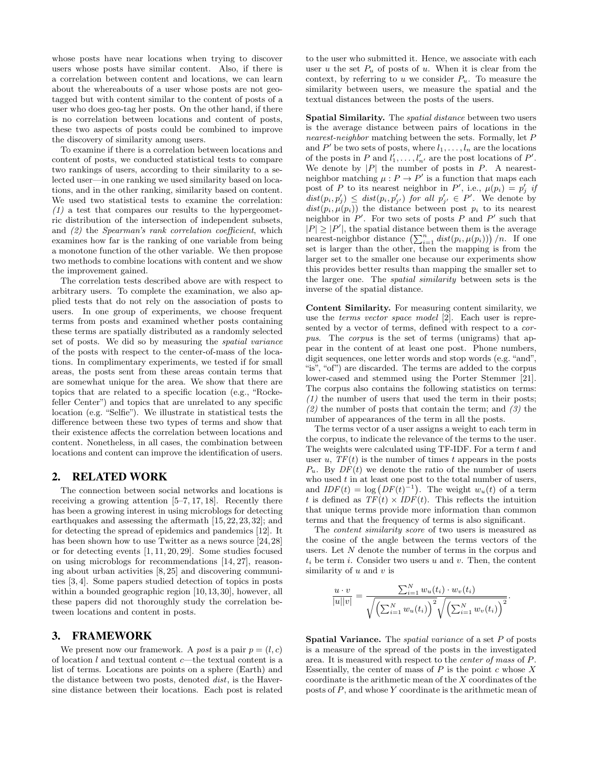whose posts have near locations when trying to discover users whose posts have similar content. Also, if there is a correlation between content and locations, we can learn about the whereabouts of a user whose posts are not geotagged but with content similar to the content of posts of a user who does geo-tag her posts. On the other hand, if there is no correlation between locations and content of posts, these two aspects of posts could be combined to improve the discovery of similarity among users.

To examine if there is a correlation between locations and content of posts, we conducted statistical tests to compare two rankings of users, according to their similarity to a selected user—in one ranking we used similarity based on locations, and in the other ranking, similarity based on content. We used two statistical tests to examine the correlation:  $(1)$  a test that compares our results to the hypergeometric distribution of the intersection of independent subsets, and (2) the Spearman's rank correlation coefficient, which examines how far is the ranking of one variable from being a monotone function of the other variable. We then propose two methods to combine locations with content and we show the improvement gained.

The correlation tests described above are with respect to arbitrary users. To complete the examination, we also applied tests that do not rely on the association of posts to users. In one group of experiments, we choose frequent terms from posts and examined whether posts containing these terms are spatially distributed as a randomly selected set of posts. We did so by measuring the spatial variance of the posts with respect to the center-of-mass of the locations. In complimentary experiments, we tested if for small areas, the posts sent from these areas contain terms that are somewhat unique for the area. We show that there are topics that are related to a specific location (e.g., "Rockefeller Center") and topics that are unrelated to any specific location (e.g. "Selfie"). We illustrate in statistical tests the difference between these two types of terms and show that their existence affects the correlation between locations and content. Nonetheless, in all cases, the combination between locations and content can improve the identification of users.

## 2. RELATED WORK

The connection between social networks and locations is receiving a growing attention [5–7, 17, 18]. Recently there has been a growing interest in using microblogs for detecting earthquakes and assessing the aftermath [15, 22, 23, 32]; and for detecting the spread of epidemics and pandemics [12]. It has been shown how to use Twitter as a news source  $[24, 28]$ or for detecting events [1, 11, 20, 29]. Some studies focused on using microblogs for recommendations [14, 27], reasoning about urban activities [8, 25] and discovering communities [3, 4]. Some papers studied detection of topics in posts within a bounded geographic region [10, 13, 30], however, all these papers did not thoroughly study the correlation between locations and content in posts.

#### 3. FRAMEWORK

We present now our framework. A *post* is a pair  $p = (l, c)$ of location  $l$  and textual content  $c$ —the textual content is a list of terms. Locations are points on a sphere (Earth) and the distance between two posts, denoted *dist*, is the Haversine distance between their locations. Each post is related to the user who submitted it. Hence, we associate with each user u the set  $P_u$  of posts of u. When it is clear from the context, by referring to u we consider  $P_u$ . To measure the similarity between users, we measure the spatial and the textual distances between the posts of the users.

Spatial Similarity. The spatial distance between two users is the average distance between pairs of locations in the nearest-neighbor matching between the sets. Formally, let P and  $P'$  be two sets of posts, where  $l_1, \ldots, l_n$  are the locations of the posts in P and  $l'_1, \ldots, l'_{n'}$  are the post locations of P'. We denote by  $|P|$  the number of posts in P. A nearestneighbor matching  $\mu : P \to P'$  is a function that maps each post of P to its nearest neighbor in P', i.e.,  $\mu(p_i) = p'_j$  if  $dist(p_i, p'_j) \leq dist(p_i, p'_{j'})$  for all  $p'_{j'} \in P'$ . We denote by  $dist(p_i, \mu(p_i))$  the distance between post  $p_i$  to its nearest neighbor in  $P'$ . For two sets of posts P and P' such that  $|P| \geq |P'|$ , the spatial distance between them is the average nearest-neighbor distance  $\left(\sum_{i=1}^n dist(p_i, \mu(p_i))\right)/n$ . If one set is larger than the other, then the mapping is from the larger set to the smaller one because our experiments show this provides better results than mapping the smaller set to the larger one. The spatial similarity between sets is the inverse of the spatial distance.

Content Similarity. For measuring content similarity, we use the terms vector space model [2]. Each user is represented by a vector of terms, defined with respect to a corpus. The corpus is the set of terms (unigrams) that appear in the content of at least one post. Phone numbers, digit sequences, one letter words and stop words (e.g. "and", "is", "of") are discarded. The terms are added to the corpus lower-cased and stemmed using the Porter Stemmer [21]. The corpus also contains the following statistics on terms:  $(1)$  the number of users that used the term in their posts;  $(2)$  the number of posts that contain the term; and  $(3)$  the number of appearances of the term in all the posts.

The terms vector of a user assigns a weight to each term in the corpus, to indicate the relevance of the terms to the user. The weights were calculated using TF-IDF. For a term t and user u,  $TF(t)$  is the number of times t appears in the posts  $P_u$ . By  $DF(t)$  we denote the ratio of the number of users who used  $t$  in at least one post to the total number of users, and  $IDF(t) = \log (DF(t)^{-1})$ . The weight  $w_u(t)$  of a term t is defined as  $TF(t) \times IDF(t)$ . This reflects the intuition that unique terms provide more information than common terms and that the frequency of terms is also significant.

The content similarity score of two users is measured as the cosine of the angle between the terms vectors of the users. Let N denote the number of terms in the corpus and  $t_i$  be term i. Consider two users u and v. Then, the content similarity of  $u$  and  $v$  is

$$
\frac{u \cdot v}{|u||v|} = \frac{\sum_{i=1}^{N} w_u(t_i) \cdot w_v(t_i)}{\sqrt{\left(\sum_{i=1}^{N} w_u(t_i)\right)^2} \sqrt{\left(\sum_{i=1}^{N} w_v(t_i)\right)^2}}.
$$

Spatial Variance. The spatial variance of a set P of posts is a measure of the spread of the posts in the investigated area. It is measured with respect to the center of mass of P. Essentially, the center of mass of  $P$  is the point  $c$  whose  $X$ coordinate is the arithmetic mean of the X coordinates of the posts of  $P$ , and whose  $Y$  coordinate is the arithmetic mean of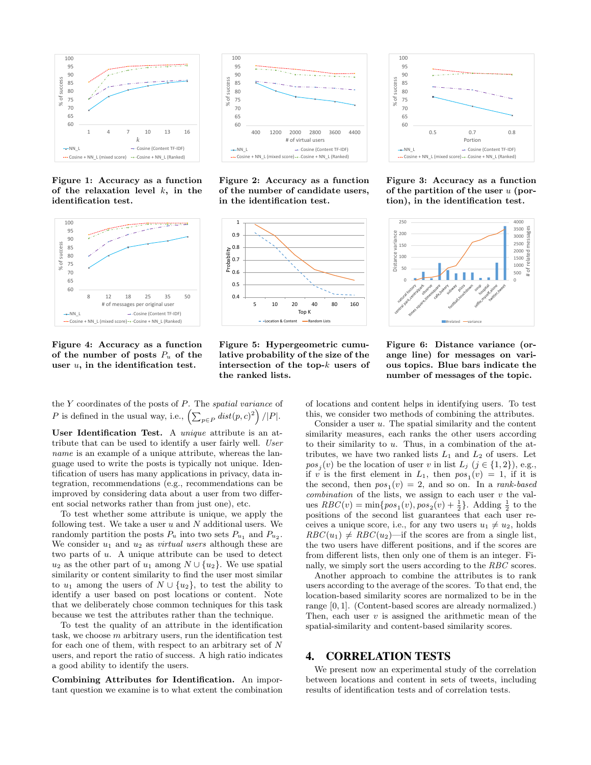

Figure 1: Accuracy as a function of the relaxation level  $k$ , in the identification test.



Figure 4: Accuracy as a function of the number of posts  $P_u$  of the user  $u$ , in the identification test.



Figure 2: Accuracy as a function of the number of candidate users, in the identification test.



Figure 5: Hypergeometric cumulative probability of the size of the intersection of the top-k users of the ranked lists.



Figure 3: Accuracy as a function of the partition of the user  $u$  (portion), in the identification test.



Figure 6: Distance variance (orange line) for messages on various topics. Blue bars indicate the number of messages of the topic.

the  $Y$  coordinates of the posts of  $P$ . The spatial variance of P is defined in the usual way, i.e.,  $\left(\sum_{p\in P} dist(p, c)^2\right)/|P|$ .

User Identification Test. A *unique* attribute is an attribute that can be used to identify a user fairly well. User name is an example of a unique attribute, whereas the language used to write the posts is typically not unique. Identification of users has many applications in privacy, data integration, recommendations (e.g., recommendations can be improved by considering data about a user from two different social networks rather than from just one), etc.

To test whether some attribute is unique, we apply the following test. We take a user  $u$  and  $N$  additional users. We randomly partition the posts  $P_u$  into two sets  $P_{u_1}$  and  $P_{u_2}$ . We consider  $u_1$  and  $u_2$  as *virtual users* although these are two parts of u. A unique attribute can be used to detect  $u_2$  as the other part of  $u_1$  among  $N \cup \{u_2\}$ . We use spatial similarity or content similarity to find the user most similar to  $u_1$  among the users of  $N \cup \{u_2\}$ , to test the ability to identify a user based on post locations or content. Note that we deliberately chose common techniques for this task because we test the attributes rather than the technique.

To test the quality of an attribute in the identification task, we choose  $m$  arbitrary users, run the identification test for each one of them, with respect to an arbitrary set of N users, and report the ratio of success. A high ratio indicates a good ability to identify the users.

Combining Attributes for Identification. An important question we examine is to what extent the combination of locations and content helps in identifying users. To test this, we consider two methods of combining the attributes.

Consider a user  $u$ . The spatial similarity and the content similarity measures, each ranks the other users according to their similarity to  $u$ . Thus, in a combination of the attributes, we have two ranked lists  $L_1$  and  $L_2$  of users. Let  $pos_j(v)$  be the location of user v in list  $L_j$   $(j \in \{1, 2\})$ , e.g., if v is the first element in  $L_1$ , then  $pos_1(v) = 1$ , if it is the second, then  $pos_1(v) = 2$ , and so on. In a *rank-based* combination of the lists, we assign to each user  $v$  the values  $RBC(v) = \min\{pos_1(v), pos_2(v) + \frac{1}{2}\}\.$  Adding  $\frac{1}{2}$  to the positions of the second list guarantees that each user receives a unique score, i.e., for any two users  $u_1 \neq u_2$ , holds  $RBC(u_1) \neq RBC(u_2)$ —if the scores are from a single list, the two users have different positions, and if the scores are from different lists, then only one of them is an integer. Finally, we simply sort the users according to the RBC scores.

Another approach to combine the attributes is to rank users according to the average of the scores. To that end, the location-based similarity scores are normalized to be in the range [0, 1]. (Content-based scores are already normalized.) Then, each user  $v$  is assigned the arithmetic mean of the spatial-similarity and content-based similarity scores.

## 4. CORRELATION TESTS

We present now an experimental study of the correlation between locations and content in sets of tweets, including results of identification tests and of correlation tests.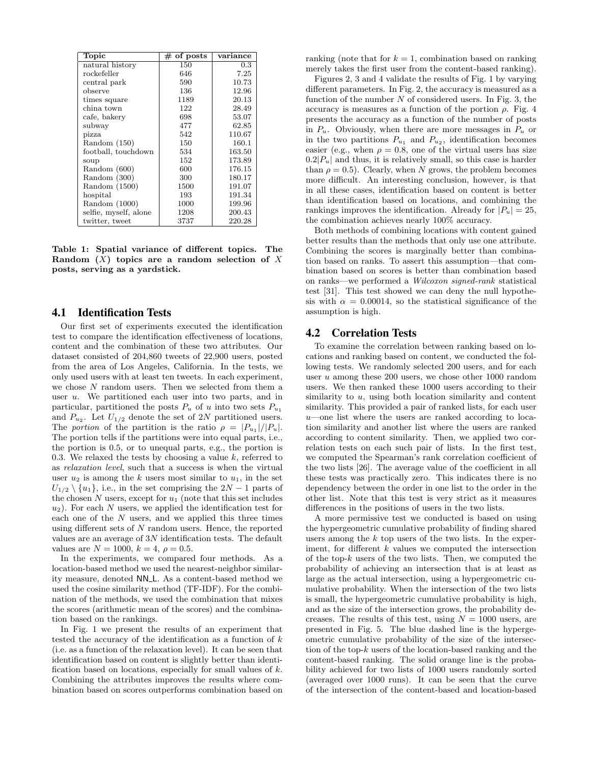| <b>Topic</b>          | $#$ of posts | variance |  |
|-----------------------|--------------|----------|--|
| natural history       | 150          | 0.3      |  |
| rockefeller           | 646          | 7.25     |  |
| central park          | 590          | 10.73    |  |
| observe               | 136          | 12.96    |  |
| times square          | 1189         | 20.13    |  |
| china town            | 122          | 28.49    |  |
| cafe, bakery          | 698          | 53.07    |  |
| subway                | 477          | 62.85    |  |
| pizza                 | 542          | 110.67   |  |
| Random $(150)$        | 150          | 160.1    |  |
| football, touchdown   | 534          | 163.50   |  |
| soup                  | 152          | 173.89   |  |
| Random (600)          | 600          | 176.15   |  |
| Random (300)          | 300          | 180.17   |  |
| Random (1500)         | 1500         | 191.07   |  |
| hospital              | 193          | 191.34   |  |
| Random (1000)         | 1000         | 199.96   |  |
| selfie, myself, alone | 1208         | 200.43   |  |
| twitter, tweet        | 3737         | 220.28   |  |

Table 1: Spatial variance of different topics. The Random  $(X)$  topics are a random selection of X posts, serving as a yardstick.

### 4.1 Identification Tests

Our first set of experiments executed the identification test to compare the identification effectiveness of locations, content and the combination of these two attributes. Our dataset consisted of 204,860 tweets of 22,900 users, posted from the area of Los Angeles, California. In the tests, we only used users with at least ten tweets. In each experiment, we chose N random users. Then we selected from them a user  $u$ . We partitioned each user into two parts, and in particular, partitioned the posts  $P_u$  of u into two sets  $P_{u_1}$ and  $P_{u_2}$ . Let  $U_{1/2}$  denote the set of 2N partitioned users. The portion of the partition is the ratio  $\rho = |P_{u_1}|/|P_u|$ . The portion tells if the partitions were into equal parts, i.e., the portion is 0.5, or to unequal parts, e.g., the portion is 0.3. We relaxed the tests by choosing a value  $k$ , referred to as relaxation level, such that a success is when the virtual user  $u_2$  is among the k users most similar to  $u_1$ , in the set  $U_{1/2} \setminus \{u_1\}$ , i.e., in the set comprising the  $2N-1$  parts of the chosen  $N$  users, except for  $u_1$  (note that this set includes  $u_2$ ). For each N users, we applied the identification test for each one of the  $N$  users, and we applied this three times using different sets of N random users. Hence, the reported values are an average of 3N identification tests. The default values are  $N = 1000, k = 4, \rho = 0.5$ .

In the experiments, we compared four methods. As a location-based method we used the nearest-neighbor similarity measure, denoted NN L. As a content-based method we used the cosine similarity method (TF-IDF). For the combination of the methods, we used the combination that mixes the scores (arithmetic mean of the scores) and the combination based on the rankings.

In Fig. 1 we present the results of an experiment that tested the accuracy of the identification as a function of  $k$ (i.e. as a function of the relaxation level). It can be seen that identification based on content is slightly better than identification based on locations, especially for small values of  $k$ . Combining the attributes improves the results where combination based on scores outperforms combination based on ranking (note that for  $k = 1$ , combination based on ranking merely takes the first user from the content-based ranking).

Figures 2, 3 and 4 validate the results of Fig. 1 by varying different parameters. In Fig. 2, the accuracy is measured as a function of the number  $N$  of considered users. In Fig. 3, the accuracy is measures as a function of the portion  $\rho$ . Fig. 4 presents the accuracy as a function of the number of posts in  $P_u$ . Obviously, when there are more messages in  $P_u$  or in the two partitions  $P_{u_1}$  and  $P_{u_2}$ , identification becomes easier (e.g., when  $\rho = 0.8$ , one of the virtual users has size  $0.2|P_u|$  and thus, it is relatively small, so this case is harder than  $\rho = 0.5$ ). Clearly, when N grows, the problem becomes more difficult. An interesting conclusion, however, is that in all these cases, identification based on content is better than identification based on locations, and combining the rankings improves the identification. Already for  $|P_u| = 25$ , the combination achieves nearly 100% accuracy.

Both methods of combining locations with content gained better results than the methods that only use one attribute. Combining the scores is marginally better than combination based on ranks. To assert this assumption—that combination based on scores is better than combination based on ranks—we performed a Wilcoxon signed-rank statistical test [31]. This test showed we can deny the null hypothesis with  $\alpha = 0.00014$ , so the statistical significance of the assumption is high.

#### 4.2 Correlation Tests

To examine the correlation between ranking based on locations and ranking based on content, we conducted the following tests. We randomly selected 200 users, and for each user u among these 200 users, we chose other 1000 random users. We then ranked these 1000 users according to their similarity to  $u$ , using both location similarity and content similarity. This provided a pair of ranked lists, for each user  $u$ —one list where the users are ranked according to location similarity and another list where the users are ranked according to content similarity. Then, we applied two correlation tests on each such pair of lists. In the first test, we computed the Spearman's rank correlation coefficient of the two lists [26]. The average value of the coefficient in all these tests was practically zero. This indicates there is no dependency between the order in one list to the order in the other list. Note that this test is very strict as it measures differences in the positions of users in the two lists.

A more permissive test we conducted is based on using the hypergeometric cumulative probability of finding shared users among the  $k$  top users of the two lists. In the experiment, for different  $k$  values we computed the intersection of the top- $k$  users of the two lists. Then, we computed the probability of achieving an intersection that is at least as large as the actual intersection, using a hypergeometric cumulative probability. When the intersection of the two lists is small, the hypergeometric cumulative probability is high, and as the size of the intersection grows, the probability decreases. The results of this test, using  $N = 1000$  users, are presented in Fig. 5. The blue dashed line is the hypergeometric cumulative probability of the size of the intersection of the top- $k$  users of the location-based ranking and the content-based ranking. The solid orange line is the probability achieved for two lists of 1000 users randomly sorted (averaged over 1000 runs). It can be seen that the curve of the intersection of the content-based and location-based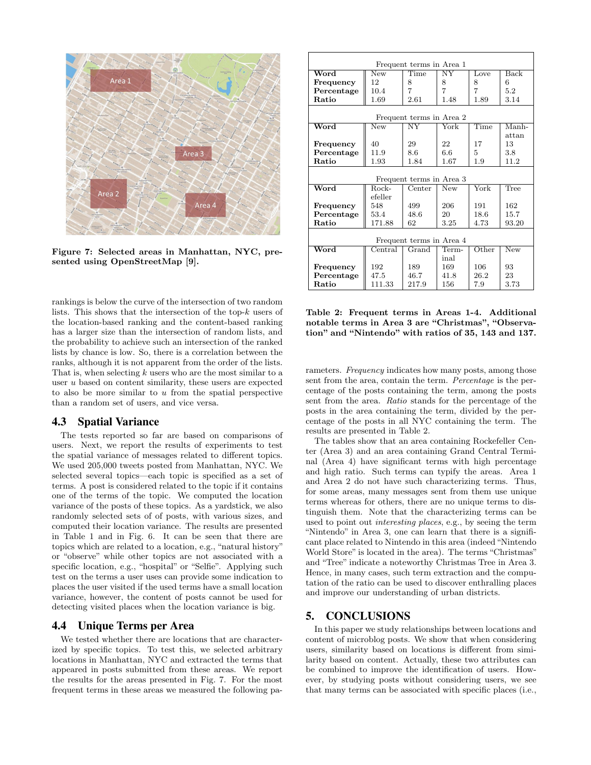

Figure 7: Selected areas in Manhattan, NYC, presented using OpenStreetMap [9].

rankings is below the curve of the intersection of two random lists. This shows that the intersection of the top- $k$  users of the location-based ranking and the content-based ranking has a larger size than the intersection of random lists, and the probability to achieve such an intersection of the ranked lists by chance is low. So, there is a correlation between the ranks, although it is not apparent from the order of the lists. That is, when selecting  $k$  users who are the most similar to a user u based on content similarity, these users are expected to also be more similar to  $u$  from the spatial perspective than a random set of users, and vice versa.

#### 4.3 Spatial Variance

The tests reported so far are based on comparisons of users. Next, we report the results of experiments to test the spatial variance of messages related to different topics. We used 205,000 tweets posted from Manhattan, NYC. We selected several topics—each topic is specified as a set of terms. A post is considered related to the topic if it contains one of the terms of the topic. We computed the location variance of the posts of these topics. As a yardstick, we also randomly selected sets of of posts, with various sizes, and computed their location variance. The results are presented in Table 1 and in Fig. 6. It can be seen that there are topics which are related to a location, e.g., "natural history" or "observe" while other topics are not associated with a specific location, e.g., "hospital" or "Selfie". Applying such test on the terms a user uses can provide some indication to places the user visited if the used terms have a small location variance, however, the content of posts cannot be used for detecting visited places when the location variance is big.

#### 4.4 Unique Terms per Area

We tested whether there are locations that are characterized by specific topics. To test this, we selected arbitrary locations in Manhattan, NYC and extracted the terms that appeared in posts submitted from these areas. We report the results for the areas presented in Fig. 7. For the most frequent terms in these areas we measured the following pa-

| Frequent terms in Area 1 |         |        |       |              |             |  |  |
|--------------------------|---------|--------|-------|--------------|-------------|--|--|
| Word                     | New     | Time   | NY    | Love         | <b>Back</b> |  |  |
| Frequency                | 12      | 8      | 8     | 8            | 6           |  |  |
| Percentage               | 10.4    | 7      | 7     | 7            | 5.2         |  |  |
| <b>Ratio</b>             | 1.69    | 2.61   | 1.48  | 1.89         | 3.14        |  |  |
|                          |         |        |       |              |             |  |  |
| Frequent terms in Area 2 |         |        |       |              |             |  |  |
| Word                     | New     | NY     | York  | Time         | Manh-       |  |  |
|                          |         |        |       |              | attan       |  |  |
| Frequency                | 40      | 29     | 22    | 17           | 13          |  |  |
| Percentage               | 11.9    | 8.6    | 6.6   | 5            | 3.8         |  |  |
| Ratio                    | 1.93    | 1.84   | 1.67  | 1.9          | 11.2        |  |  |
|                          |         |        |       |              |             |  |  |
| Frequent terms in Area 3 |         |        |       |              |             |  |  |
| Word                     | Rock-   | Center | New   | ${\rm York}$ | Tree        |  |  |
|                          | efeller |        |       |              |             |  |  |
| Frequency                | 548     | 499    | 206   | 191          | 162         |  |  |
| Percentage               | 53.4    | 48.6   | 20    | 18.6         | 15.7        |  |  |
| Ratio                    | 171.88  | 62     | 3.25  | 4.73         | 93.20       |  |  |
|                          |         |        |       |              |             |  |  |
| Frequent terms in Area 4 |         |        |       |              |             |  |  |
| Word                     | Central | Grand  | Term- | Other        | <b>New</b>  |  |  |
|                          |         |        | inal  |              |             |  |  |
| Frequency                | 192     | 189    | 169   | 106          | 93          |  |  |
| Percentage               | 47.5    | 46.7   | 41.8  | 26.2         | 23          |  |  |
| Ratio                    | 111.33  | 217.9  | 156   | 7.9          | 3.73        |  |  |

Table 2: Frequent terms in Areas 1-4. Additional notable terms in Area 3 are "Christmas", "Observation" and "Nintendo" with ratios of 35, 143 and 137.

rameters. Frequency indicates how many posts, among those sent from the area, contain the term. *Percentage* is the percentage of the posts containing the term, among the posts sent from the area. Ratio stands for the percentage of the posts in the area containing the term, divided by the percentage of the posts in all NYC containing the term. The results are presented in Table 2.

The tables show that an area containing Rockefeller Center (Area 3) and an area containing Grand Central Terminal (Area 4) have significant terms with high percentage and high ratio. Such terms can typify the areas. Area 1 and Area 2 do not have such characterizing terms. Thus, for some areas, many messages sent from them use unique terms whereas for others, there are no unique terms to distinguish them. Note that the characterizing terms can be used to point out interesting places, e.g., by seeing the term "Nintendo" in Area 3, one can learn that there is a significant place related to Nintendo in this area (indeed "Nintendo World Store" is located in the area). The terms "Christmas" and "Tree" indicate a noteworthy Christmas Tree in Area 3. Hence, in many cases, such term extraction and the computation of the ratio can be used to discover enthralling places and improve our understanding of urban districts.

## 5. CONCLUSIONS

In this paper we study relationships between locations and content of microblog posts. We show that when considering users, similarity based on locations is different from similarity based on content. Actually, these two attributes can be combined to improve the identification of users. However, by studying posts without considering users, we see that many terms can be associated with specific places (i.e.,